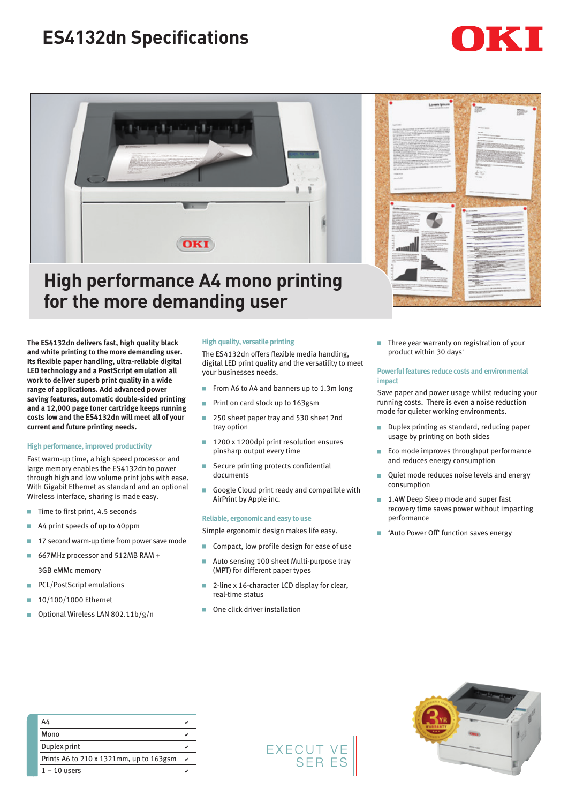# **ES4132dn Specifications**





## **High performance A4 mono printing for the more demanding user**

**The ES4132dn delivers fast, high quality black and white printing to the more demanding user. Its flexible paper handling, ultra-reliable digital LED technology and a PostScript emulation all work to deliver superb print quality in a wide range of applications. Add advanced power saving features, automatic double-sided printing and a 12,000 page toner cartridge keeps running costs low and the ES4132dn will meet all of your current and future printing needs.**

### **High performance, improved productivity**

Fast warm-up time, a high speed processor and large memory enables the ES4132dn to power through high and low volume print jobs with ease. With Gigabit Ethernet as standard and an optional Wireless interface, sharing is made easy.

- $\blacksquare$  Time to first print, 4.5 seconds
- $\blacksquare$  A4 print speeds of up to 40ppm
- $\blacksquare$  17 second warm-up time from power save mode
- 667MHz processor and 512MB RAM + 3GB eMMc memory
- **PCL/PostScript emulations**
- $10/100/1000$  Ethernet
- **D** Optional Wireless LAN 802.11b/g/n

#### **High quality, versatile printing**

The ES4132dn offers flexible media handling, digital LED print quality and the versatility to meet your businesses needs.

- From A6 to A4 and banners up to  $1.3$ m long
- Print on card stock up to 163gsm
- 250 sheet paper tray and 530 sheet 2nd tray option
- 1200 x 1200dpi print resolution ensures pinsharp output every time
- $\blacksquare$  Secure printing protects confidential documents
- Google Cloud print ready and compatible with AirPrint by Apple inc.

### **Reliable, ergonomic and easy to use**

- Simple ergonomic design makes life easy.
- Compact, low profile design for ease of use
- Auto sensing 100 sheet Multi-purpose tray (MPT) for different paper types
- 2-line x 16-character LCD display for clear, real-time status
- One click driver installation



 $\blacksquare$  Three year warranty on registration of your product within 30 days^

#### **Powerful features reduce costs and environmental impact**

Save paper and power usage whilst reducing your running costs. There is even a noise reduction mode for quieter working environments.

- **Duplex printing as standard, reducing paper** usage by printing on both sides
- **Eco mode improves throughput performance** and reduces energy consumption
- **Quiet mode reduces noise levels and energy** consumption
- 1.4W Deep Sleep mode and super fast recovery time saves power without impacting performance
- 'Auto Power Off' function saves energy

| A4                                      |  |
|-----------------------------------------|--|
| Mono                                    |  |
| Duplex print                            |  |
| Prints A6 to 210 x 1321mm, up to 163gsm |  |
| $1 - 10$ users                          |  |